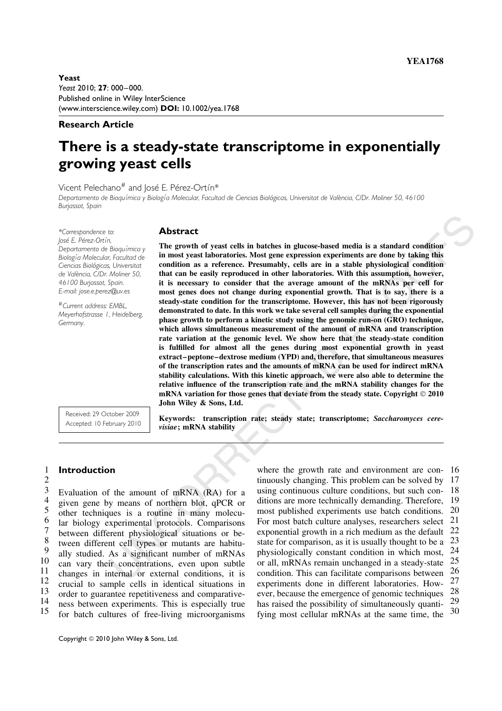### **Yeast** *Yeast* 2010; **27**: 000–000. Published online in Wiley InterScience (www.interscience.wiley.com) **DOI:** 10.1002/yea.1768

### **Research Article**

# **There is a steady-state transcriptome in exponentially growing yeast cells**

Vicent Pelechano<sup>#</sup> and José E. Pérez-Ortín\*

*Departamento de Bioqu´ımica y Biolog´ıa Molecular, Facultad de Ciencias Biologicas, Universitat de Val ´ encia, C/Dr. Moliner 50, 46100 ` Burjassot, Spain*

*\*Correspondence to: Jose E. P ´ erez-Ort ´ ´ın, Departamento de Bioqu´ımica y Biolog´ıa Molecular, Facultad de Ciencias Biologicas, Universitat ´ de Valencia, C/Dr. Moliner 50, ` 46100 Burjassot, Spain. E-mail: jose.e.perez@uv.es*

#*Current address: EMBL, Meyerhofstrasse 1, Heidelberg, Germany.*

#### **Abstract**

**Example 16 (a)**<br>
in the movem of years cells in batches in glucosc-based media is a standard condition<br>
incoming the providing this interest condition as a reference. Presumably, eells are in a stable physiological condi **The growth of yeast cells in batches in glucose-based media is a standard condition in most yeast laboratories. Most gene expression experiments are done by taking this condition as a reference. Presumably, cells are in a stable physiological condition that can be easily reproduced in other laboratories. With this assumption, however, it is necessary to consider that the average amount of the mRNAs per cell for most genes does not change during exponential growth. That is to say, there is a steady-state condition for the transcriptome. However, this has not been rigorously demonstrated to date. In this work we take several cell samples during the exponential phase growth to perform a kinetic study using the genomic run-on (GRO) technique, which allows simultaneous measurement of the amount of mRNA and transcription rate variation at the genomic level. We show here that the steady-state condition is fulfilled for almost all the genes during most exponential growth in yeast extract–peptone–dextrose medium (YPD) and, therefore, that simultaneous measures of the transcription rates and the amounts of mRNA can be used for indirect mRNA stability calculations. With this kinetic approach, we were also able to determine the relative influence of the transcription rate and the mRNA stability changes for the mRNA variation for those genes that deviate from the steady state. Copyright 2010 John Wiley & Sons, Ltd.**

Received: 29 October 2009 Accepted: 10 February 2010

**Keywords: transcription rate; steady state; transcriptome;** *Saccharomyces cerevisiae***; mRNA stability**

#### 1 **Introduction**

2

3 4 5 6 7 8  $\overline{Q}$ 10 11 12 13 14 15 Evaluation of the amount of mRNA (RA) for a given gene by means of northern blot, qPCR or other techniques is a routine in many molecular biology experimental protocols. Comparisons between different physiological situations or between different cell types or mutants are habitually studied. As a significant number of mRNAs can vary their concentrations, even upon subtle changes in internal or external conditions, it is crucial to sample cells in identical situations in order to guarantee repetitiveness and comparativeness between experiments. This is especially true for batch cultures of free-living microorganisms

Copyright 2010 John Wiley & Sons, Ltd.

where the growth rate and environment are con- 16 tinuously changing. This problem can be solved by 17 using continuous culture conditions, but such con- 18 ditions are more technically demanding. Therefore, 19 20 21 22 state for comparison, as it is usually thought to be a  $23$  $24$ 25 26 27 28 29 30 most published experiments use batch conditions. For most batch culture analyses, researchers select exponential growth in a rich medium as the default physiologically constant condition in which most, or all, mRNAs remain unchanged in a steady-state condition. This can facilitate comparisons between experiments done in different laboratories. However, because the emergence of genomic techniques has raised the possibility of simultaneously quantifying most cellular mRNAs at the same time, the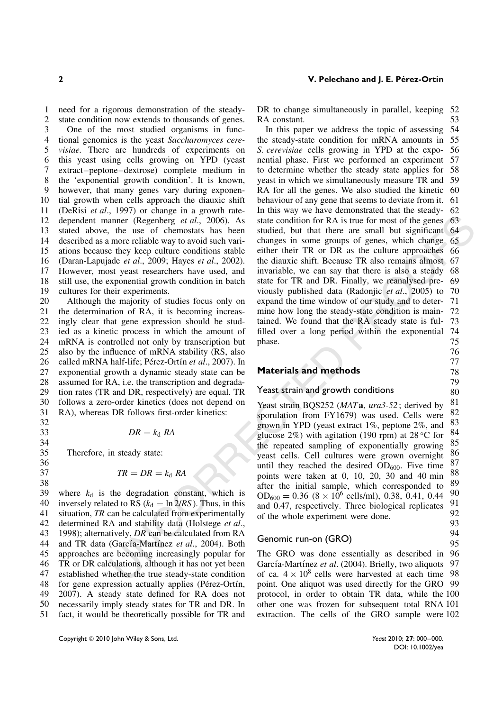1 2 3 4 5 6 7 8 9 10 11 12 13 14 15 16 17 18 19 need for a rigorous demonstration of the steadystate condition now extends to thousands of genes. One of the most studied organisms in functional genomics is the yeast *Saccharomyces cerevisiae.* There are hundreds of experiments on this yeast using cells growing on YPD (yeast extract–peptone–dextrose) complete medium in the 'exponential growth condition'. It is known, however, that many genes vary during exponential growth when cells approach the diauxic shift (DeRisi *et al*., 1997) or change in a growth ratedependent manner (Regenberg *et al*., 2006). As stated above, the use of chemostats has been described as a more reliable way to avoid such variations because they keep culture conditions stable (Daran-Lapujade *et al*., 2009; Hayes *et al*., 2002). However, most yeast researchers have used, and still use, the exponential growth condition in batch cultures for their experiments.

20 21 22 23 24 25 26 27 28 29 30 31 32 Although the majority of studies focus only on the determination of RA, it is becoming increasingly clear that gene expression should be studied as a kinetic process in which the amount of mRNA is controlled not only by transcription but also by the influence of mRNA stability (RS, also called mRNA half-life; Pérez-Ortín et al., 2007). In exponential growth a dynamic steady state can be assumed for RA, i.e. the transcription and degradation rates (TR and DR, respectively) are equal. TR follows a zero-order kinetics (does not depend on RA), whereas DR follows first-order kinetics:

$$
DR = k_{\rm d} RA
$$

Therefore, in steady state:

35 36

33 34

37 38  $TR = DR = k_d$  *RA* 

39 40 41 42 43 44 45 46 47 48 49 50 51 where  $k_d$  is the degradation constant, which is inversely related to RS ( $k_d = \ln 2/RS$ ). Thus, in this situation, *TR* can be calculated from experimentally determined RA and stability data (Holstege *et al*., 1998); alternatively, *DR* can be calculated from RA and TR data (García-Martínez et al., 2004). Both approaches are becoming increasingly popular for TR or DR calculations, although it has not yet been established whether the true steady-state condition for gene expression actually applies (Pérez-Ortín, 2007). A steady state defined for RA does not necessarily imply steady states for TR and DR. In fact, it would be theoretically possible for TR and

DR to change simultaneously in parallel, keeping 52 53 RA constant.

amer (Regenberg *et al.*, 2006). As state condition for RA is me for most of the general the methods have been small but injuring<br>the methods have the methods of the methods of the methods of the methods of the relative c In this paper we address the topic of assessing 54 55 56 57 nential phase. First we performed an experiment 58 yeast in which we simultaneously measure TR and 59 RA for all the genes. We also studied the kinetic 60 behaviour of any gene that seems to deviate from it. 61 In this way we have demonstrated that the steady- 62 state condition for RA is true for most of the genes 63 studied, but that there are small but significant 64 changes in some groups of genes, which change 65 either their TR or DR as the culture approaches 66 67 the diauxic shift. Because TR also remains almost 68 69 70 71 72 73 74 75 the steady-state condition for mRNA amounts in *S. cerevisiae* cells growing in YPD at the expoto determine whether the steady state applies for invariable, we can say that there is also a steady state for TR and DR. Finally, we reanalysed previously published data (Radonjic *et al*., 2005) to expand the time window of our study and to determine how long the steady-state condition is maintained. We found that the RA steady state is fulfilled over a long period within the exponential phase.

# **Materials and methods**

#### Yeast strain and growth conditions

81 82 83 84 85 86 87 88 89 90 91 92 93 Yeast strain BQS252 (*MAT***a**, *ura3-52* ; derived by sporulation from FY1679) was used. Cells were grown in YPD (yeast extract 1%, peptone 2%, and glucose 2%) with agitation (190 rpm) at  $28 \degree$ C for the repeated sampling of exponentially growing yeast cells. Cell cultures were grown overnight until they reached the desired  $OD_{600}$ . Five time points were taken at 0, 10, 20, 30 and 40 min after the initial sample, which corresponded to  $OD_{600} = 0.36$  (8 × 10<sup>6</sup> cells/ml), 0.38, 0.41, 0.44 and 0.47, respectively. Three biological replicates of the whole experiment were done.

### Genomic run-on (GRO)

The GRO was done essentially as described in 96 97 of ca.  $4 \times 10^8$  cells were harvested at each time 98 point. One aliquot was used directly for the GRO 99 protocol, in order to obtain TR data, while the 100 other one was frozen for subsequent total RNA 101 extraction. The cells of the GRO sample were 102 García-Martínez *et al.* (2004). Briefly, two aliquots

DOI: 10.1002/yea

76 77

78

94 95

79 80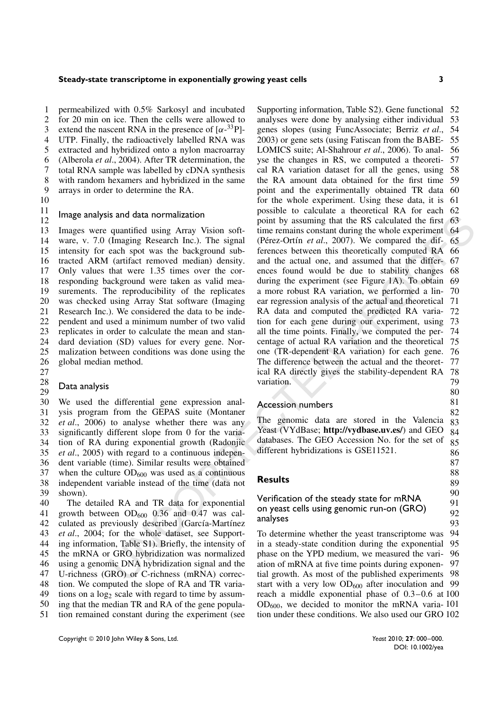1  $\mathcal{D}$ 3 4 5 6 7 8 9 permeabilized with 0.5% Sarkosyl and incubated for 20 min on ice. Then the cells were allowed to extend the nascent RNA in the presence of  $[\alpha^{-33}P]$ -UTP. Finally, the radioactively labelled RNA was extracted and hybridized onto a nylon macroarray (Alberola *et al*., 2004). After TR determination, the total RNA sample was labelled by cDNA synthesis with random hexamers and hybridized in the same arrays in order to determine the RA.

10

#### 11 12 Image analysis and data normalization

13 14 15 16 17 18 19 20 21 22 23 24 25 Images were quantified using Array Vision software, v. 7.0 (Imaging Research Inc.). The signal intensity for each spot was the background subtracted ARM (artifact removed median) density. Only values that were 1.35 times over the corresponding background were taken as valid measurements. The reproducibility of the replicates was checked using Array Stat software (Imaging Research Inc.). We considered the data to be independent and used a minimum number of two valid replicates in order to calculate the mean and standard deviation (SD) values for every gene. Normalization between conditions was done using the

- 26 global median method.
- 27

#### 28 29 Data analysis

30 31 32 33 34 35 36 37 38 39 We used the differential gene expression analysis program from the GEPAS suite (Montaner *et al*., 2006) to analyse whether there was any significantly different slope from 0 for the variation of RA during exponential growth (Radonjic *et al*., 2005) with regard to a continuous independent variable (time). Similar results were obtained when the culture  $OD_{600}$  was used as a continuous independent variable instead of the time (data not shown).

40 41 42 43 44 45 46 47 48 49 50 51 The detailed RA and TR data for exponential growth between  $OD_{600}$  0.36 and 0.47 was calculated as previously described (García-Martínez *et al*., 2004; for the whole dataset, see Supporting information, Table S1). Briefly, the intensity of the mRNA or GRO hybridization was normalized using a genomic DNA hybridization signal and the U-richness (GRO) or C-richness (mRNA) correction. We computed the slope of RA and TR variations on a  $log<sub>2</sub>$  scale with regard to time by assuming that the median TR and RA of the gene population remained constant during the experiment (see

s and data normalization<br>
quantified using Array Yosion soft-<br>
quantified using Array Yosion soft-<br>
(Imaging Research Inc.). The signal (Deter-zortin er ad., 2007). We compared the diff-t 65<br>
can spot was the background s 52 Supporting information, Table S2). Gene functional 53 analyses were done by analysing either individual 54 genes slopes (using FuncAssociate; Berriz *et al*., 55 56 57 58 59 the RA amount data obtained for the first time point and the experimentally obtained TR data 60 for the whole experiment. Using these data, it is 61 possible to calculate a theoretical RA for each 62 point by assuming that the RS calculated the first 63 time remains constant during the whole experiment 64 65 ferences between this theoretically computed RA 66 and the actual one, and assumed that the differ- 67 68 ences found would be due to stability changes during the experiment (see Figure 1A). To obtain 69 70 71 72 73 74 75 76 77 78 79 2003) or gene sets (using Fatiscan from the BABE-LOMICS suite; Al-Shahrour *et al*., 2006). To analyse the changes in RS, we computed a theoretical RA variation dataset for all the genes, using (Pérez-Ortín *et al.*, 2007). We compared the difa more robust RA variation, we performed a linear regression analysis of the actual and theoretical RA data and computed the predicted RA variation for each gene during our experiment, using all the time points. Finally, we computed the percentage of actual RA variation and the theoretical one (TR-dependent RA variation) for each gene. The difference between the actual and the theoretical RA directly gives the stability-dependent RA variation.

#### Accession numbers

- 80 81
- 82

83 84 85 86 The genomic data are stored in the Valencia Yeast (VYdBase; **http://vydbase.uv.es/**) and GEO databases. The GEO Accession No. for the set of different hybridizations is GSE11521.

### **Results**

### Verification of the steady state for mRNA on yeast cells using genomic run-on (GRO) analyses

 $Q_{\Delta}$  $Q<sub>5</sub>$ 96 97 98 start with a very low  $OD_{600}$  after inoculation and 99 reach a middle exponential phase of 0.3–0.6 at 100  $OD_{600}$ , we decided to monitor the mRNA varia-101 tion under these conditions. We also used our GRO 102 To determine whether the yeast transcriptome was in a steady-state condition during the exponential phase on the YPD medium, we measured the variation of mRNA at five time points during exponential growth. As most of the published experiments

DOI: 10.1002/yea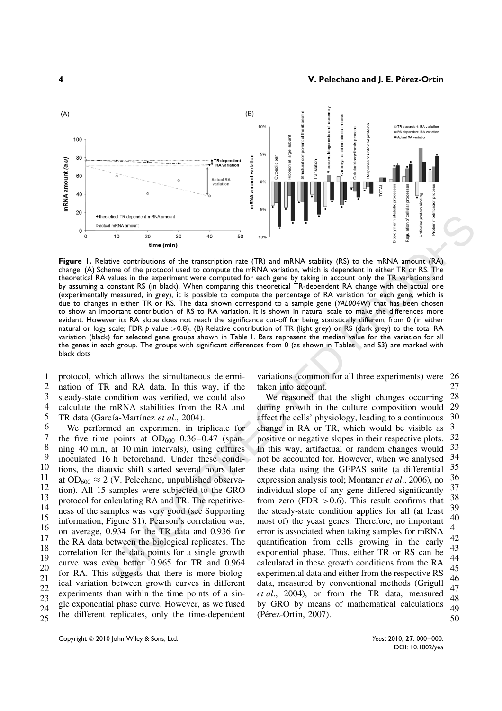

**Figure 1.** Relative contributions of the transcription rate (TR) and mRNA stability (RS) to the mRNA amount (RA) change. (A) Scheme of the protocol used to compute the mRNA variation, which is dependent in either TR or RS. The theoretical RA values in the experiment were computed for each gene by taking in account only the TR variations and by assuming a constant RS (in black). When comparing this theoretical TR-dependent RA change with the actual one (experimentally measured, in grey), it is possible to compute the percentage of RA variation for each gene, which is due to changes in either TR or RS. The data shown correspond to a sample gene (*YAL004W*) that has been chosen to show an important contribution of RS to RA variation. It is shown in natural scale to make the differences more evident. However its RA slope does not reach the significance cut-off for being statistically different from 0 (in either natural or log<sub>2</sub> scale; FDR *p* value >0.8). (B) Relative contribution of TR (light grey) or RS (dark grey) to the total RA variation (black) for selected gene groups shown in Table 1. Bars represent the median value for the variation for all the genes in each group. The groups with significant differences from 0 (as shown in Tables 1 and S3) are marked with black dots

1 2 3 4 5 protocol, which allows the simultaneous determination of TR and RA data. In this way, if the steady-state condition was verified, we could also calculate the mRNA stabilities from the RA and TR data (García-Martínez et al., 2004).

6 7 8 9 10 11 12 13 14 15 16 17 18 19 20 21  $22$ 23 24 25 We performed an experiment in triplicate for the five time points at  $OD_{600}$  0.36–0.47 (spanning 40 min, at 10 min intervals), using cultures inoculated 16 h beforehand. Under these conditions, the diauxic shift started several hours later at OD<sub>600</sub>  $\approx$  2 (V. Pelechano, unpublished observation). All 15 samples were subjected to the GRO protocol for calculating RA and TR. The repetitiveness of the samples was very good (see Supporting information, Figure S1). Pearson's correlation was, on average, 0.934 for the TR data and 0.936 for the RA data between the biological replicates. The correlation for the data points for a single growth curve was even better: 0.965 for TR and 0.964 for RA. This suggests that there is more biological variation between growth curves in different experiments than within the time points of a single exponential phase curve. However, as we fused the different replicates, only the time-dependent

variations (common for all three experiments) were 26  $27$ taken into account.

And The research estimates<br>
The response of the transformed the rest of the rest of the rest of the rest of the rest of the rest of the rest of the rest of the rest of the rest of the rest of the rest of the rest of the r 28 29 30 31 32 33 34 35 36 37 38 39 40 41 42 43 44 45 46 47 48 49 50 We reasoned that the slight changes occurring during growth in the culture composition would affect the cells' physiology, leading to a continuous change in RA or TR, which would be visible as positive or negative slopes in their respective plots. In this way, artifactual or random changes would not be accounted for. However, when we analysed these data using the GEPAS suite (a differential expression analysis tool; Montaner *et al*., 2006), no individual slope of any gene differed significantly from zero (FDR *>*0*.*6). This result confirms that the steady-state condition applies for all (at least most of) the yeast genes. Therefore, no important error is associated when taking samples for mRNA quantification from cells growing in the early exponential phase. Thus, either TR or RS can be calculated in these growth conditions from the RA experimental data and either from the respective RS data, measured by conventional methods (Grigull *et al*., 2004), or from the TR data, measured by GRO by means of mathematical calculations (Pérez-Ortín, 2007).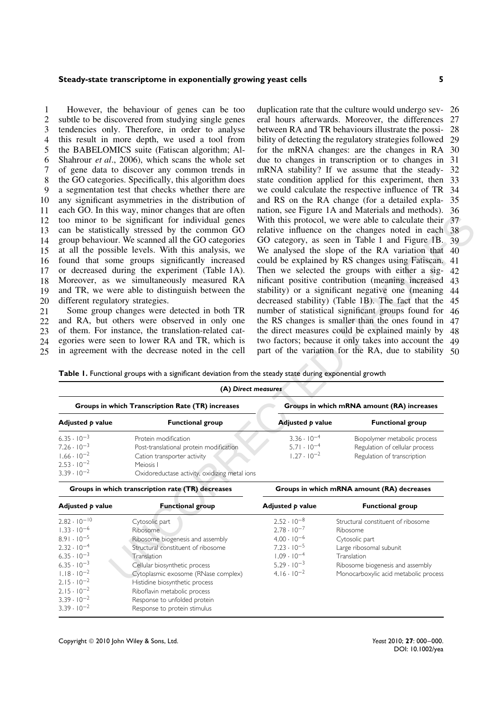#### **Steady-state transcriptome in exponentially growing yeast cells 5**

1  $\mathcal{D}$ 3 4 5 6 7 8 9 10 11 12 13 14 15 16 17 18 19 20 However, the behaviour of genes can be too subtle to be discovered from studying single genes tendencies only. Therefore, in order to analyse this result in more depth, we used a tool from the BABELOMICS suite (Fatiscan algorithm; Al-Shahrour *et al*., 2006), which scans the whole set of gene data to discover any common trends in the GO categories. Specifically, this algorithm does a segmentation test that checks whether there are any significant asymmetries in the distribution of each GO. In this way, minor changes that are often too minor to be significant for individual genes can be statistically stressed by the common GO group behaviour. We scanned all the GO categories at all the possible levels. With this analysis, we found that some groups significantly increased or decreased during the experiment (Table 1A). Moreover, as we simultaneously measured RA and TR, we were able to distinguish between the different regulatory strategies.

21 22 23 24 25 Some group changes were detected in both TR and RA, but others were observed in only one of them. For instance, the translation-related categories were seen to lower RA and TR, which is in agreement with the decrease noted in the cell 26 duplication rate that the culture would undergo sev-27 eral hours afterwards. Moreover, the differences 28 between RA and TR behaviours illustrate the possibility of detecting the regulatory strategies followed 29 for the mRNA changes: are the changes in RA 30 due to changes in transcription or to changes in 31 mRNA stability? If we assume that the steady- 32 state condition applied for this experiment, then 33 we could calculate the respective influence of TR 34 35 and RS on the RA change (for a detailed expla-36 nation, see Figure 1A and Materials and methods). With this protocol, we were able to calculate their 37 relative influence on the changes noted in each 38 39 GO category, as seen in Table 1 and Figure 1B. We analysed the slope of the RA variation that 40 41 could be explained by RS changes using Fatiscan. Then we selected the groups with either a sig- 42 43 nificant positive contribution (meaning increased 44 stability) or a significant negative one (meaning 45 decreased stability) (Table 1B). The fact that the 46 number of statistical significant groups found for the RS changes is smaller than the ones found in 47 the direct measures could be explained mainly by 48 49 two factors; because it only takes into account the part of the variation for the RA, due to stability 50

**Table 1.** Functional groups with a significant deviation from the steady state during exponential growth

| too minor to be significant for individual genes<br>can be statistically stressed by the common GO<br>group behaviour. We scanned all the GO categories<br>at all the possible levels. With this analysis, we<br>found that some groups significantly increased<br>or decreased during the experiment (Table 1A).<br>Moreover, as we simultaneously measured RA<br>and TR, we were able to distinguish between the<br>different regulatory strategies.<br>Some group changes were detected in both TR<br>and RA, but others were observed in only one<br>of them. For instance, the translation-related cat-<br>egories were seen to lower RA and TR, which is<br>in agreement with the decrease noted in the cell<br>Table 1. Functional groups with a significant deviation from the steady state during exponential growth |                                                                              | With this protocol, we were able to calculate their 37<br>relative influence on the changes noted in each 38<br>GO category, as seen in Table 1 and Figure 1B. 39<br>We analysed the slope of the RA variation that 40<br>could be explained by RS changes using Fatiscan. 41<br>Then we selected the groups with either a sig-<br>nificant positive contribution (meaning increased<br>stability) or a significant negative one (meaning<br>decreased stability) (Table 1B). The fact that the<br>number of statistical significant groups found for<br>the RS changes is smaller than the ones found in<br>the direct measures could be explained mainly by<br>two factors; because it only takes into account the<br>part of the variation for the RA, due to stability |                                                                       |  |
|-------------------------------------------------------------------------------------------------------------------------------------------------------------------------------------------------------------------------------------------------------------------------------------------------------------------------------------------------------------------------------------------------------------------------------------------------------------------------------------------------------------------------------------------------------------------------------------------------------------------------------------------------------------------------------------------------------------------------------------------------------------------------------------------------------------------------------|------------------------------------------------------------------------------|----------------------------------------------------------------------------------------------------------------------------------------------------------------------------------------------------------------------------------------------------------------------------------------------------------------------------------------------------------------------------------------------------------------------------------------------------------------------------------------------------------------------------------------------------------------------------------------------------------------------------------------------------------------------------------------------------------------------------------------------------------------------------|-----------------------------------------------------------------------|--|
|                                                                                                                                                                                                                                                                                                                                                                                                                                                                                                                                                                                                                                                                                                                                                                                                                               |                                                                              |                                                                                                                                                                                                                                                                                                                                                                                                                                                                                                                                                                                                                                                                                                                                                                            |                                                                       |  |
|                                                                                                                                                                                                                                                                                                                                                                                                                                                                                                                                                                                                                                                                                                                                                                                                                               |                                                                              | (A) Direct measures                                                                                                                                                                                                                                                                                                                                                                                                                                                                                                                                                                                                                                                                                                                                                        |                                                                       |  |
| Adjusted $p$ value                                                                                                                                                                                                                                                                                                                                                                                                                                                                                                                                                                                                                                                                                                                                                                                                            | Groups in which Transcription Rate (TR) increases<br><b>Functional group</b> | Adjusted p value                                                                                                                                                                                                                                                                                                                                                                                                                                                                                                                                                                                                                                                                                                                                                           | Groups in which mRNA amount (RA) increases<br><b>Functional group</b> |  |
| $6.35 \cdot 10^{-3}$                                                                                                                                                                                                                                                                                                                                                                                                                                                                                                                                                                                                                                                                                                                                                                                                          | Protein modification                                                         | $3.36 \cdot 10^{-4}$                                                                                                                                                                                                                                                                                                                                                                                                                                                                                                                                                                                                                                                                                                                                                       | Biopolymer metabolic process                                          |  |
| $7.26 \cdot 10^{-3}$                                                                                                                                                                                                                                                                                                                                                                                                                                                                                                                                                                                                                                                                                                                                                                                                          | Post-translational protein modification                                      | $5.71 \cdot 10^{-4}$                                                                                                                                                                                                                                                                                                                                                                                                                                                                                                                                                                                                                                                                                                                                                       | Regulation of cellular process                                        |  |
| $1.66 \cdot 10^{-2}$                                                                                                                                                                                                                                                                                                                                                                                                                                                                                                                                                                                                                                                                                                                                                                                                          | Cation transporter activity                                                  | $1.27 \cdot 10^{-2}$                                                                                                                                                                                                                                                                                                                                                                                                                                                                                                                                                                                                                                                                                                                                                       | Regulation of transcription                                           |  |
| $2.53 \cdot 10^{-2}$                                                                                                                                                                                                                                                                                                                                                                                                                                                                                                                                                                                                                                                                                                                                                                                                          | Meiosis I                                                                    |                                                                                                                                                                                                                                                                                                                                                                                                                                                                                                                                                                                                                                                                                                                                                                            |                                                                       |  |
| $3.39 \cdot 10^{-2}$                                                                                                                                                                                                                                                                                                                                                                                                                                                                                                                                                                                                                                                                                                                                                                                                          | Oxidoreductase activity, oxidizing metal ions                                |                                                                                                                                                                                                                                                                                                                                                                                                                                                                                                                                                                                                                                                                                                                                                                            |                                                                       |  |
|                                                                                                                                                                                                                                                                                                                                                                                                                                                                                                                                                                                                                                                                                                                                                                                                                               | Groups in which transcription rate (TR) decreases                            |                                                                                                                                                                                                                                                                                                                                                                                                                                                                                                                                                                                                                                                                                                                                                                            | Groups in which mRNA amount (RA) decreases                            |  |
| Adjusted $p$ value                                                                                                                                                                                                                                                                                                                                                                                                                                                                                                                                                                                                                                                                                                                                                                                                            | <b>Functional group</b>                                                      | Adjusted $p$ value                                                                                                                                                                                                                                                                                                                                                                                                                                                                                                                                                                                                                                                                                                                                                         | <b>Functional group</b>                                               |  |
| $2.82 \cdot 10^{-10}$                                                                                                                                                                                                                                                                                                                                                                                                                                                                                                                                                                                                                                                                                                                                                                                                         | Cytosolic part                                                               | $2.52 \cdot 10^{-8}$                                                                                                                                                                                                                                                                                                                                                                                                                                                                                                                                                                                                                                                                                                                                                       | Structural constituent of ribosome                                    |  |
| $1.33 \cdot 10^{-6}$                                                                                                                                                                                                                                                                                                                                                                                                                                                                                                                                                                                                                                                                                                                                                                                                          | Ribosome                                                                     | $2.78 \cdot 10^{-7}$                                                                                                                                                                                                                                                                                                                                                                                                                                                                                                                                                                                                                                                                                                                                                       | Ribosome                                                              |  |
| $8.91 \cdot 10^{-5}$                                                                                                                                                                                                                                                                                                                                                                                                                                                                                                                                                                                                                                                                                                                                                                                                          | Ribosome biogenesis and assembly                                             | $4.00 \cdot 10^{-6}$                                                                                                                                                                                                                                                                                                                                                                                                                                                                                                                                                                                                                                                                                                                                                       | Cytosolic part                                                        |  |
| $2.32 \cdot 10^{-4}$                                                                                                                                                                                                                                                                                                                                                                                                                                                                                                                                                                                                                                                                                                                                                                                                          | Structural constituent of ribosome                                           | $7.23 \cdot 10^{-5}$                                                                                                                                                                                                                                                                                                                                                                                                                                                                                                                                                                                                                                                                                                                                                       | Large ribosomal subunit                                               |  |
| $6.35 \cdot 10^{-3}$                                                                                                                                                                                                                                                                                                                                                                                                                                                                                                                                                                                                                                                                                                                                                                                                          | Translation                                                                  | $1.09 \cdot 10^{-4}$                                                                                                                                                                                                                                                                                                                                                                                                                                                                                                                                                                                                                                                                                                                                                       | Translation                                                           |  |
| $6.35 \cdot 10^{-3}$                                                                                                                                                                                                                                                                                                                                                                                                                                                                                                                                                                                                                                                                                                                                                                                                          | Cellular biosynthetic process                                                | $5.29 \cdot 10^{-3}$                                                                                                                                                                                                                                                                                                                                                                                                                                                                                                                                                                                                                                                                                                                                                       | Ribosome biogenesis and assembly                                      |  |
| $1.18 \cdot 10^{-2}$                                                                                                                                                                                                                                                                                                                                                                                                                                                                                                                                                                                                                                                                                                                                                                                                          | Cytoplasmic exosome (RNase complex)                                          | $4.16 \cdot 10^{-2}$                                                                                                                                                                                                                                                                                                                                                                                                                                                                                                                                                                                                                                                                                                                                                       | Monocarboxylic acid metabolic process                                 |  |
| $21510-2$                                                                                                                                                                                                                                                                                                                                                                                                                                                                                                                                                                                                                                                                                                                                                                                                                     | Llietidina bioquethatic processo                                             |                                                                                                                                                                                                                                                                                                                                                                                                                                                                                                                                                                                                                                                                                                                                                                            |                                                                       |  |

| Adjusted $p$ value                                                                                                                                                                                                                            | <b>Functional group</b>                                                                                                                                                                                                                                                                       | Adjusted $p$ value                                                                                                                                                   | <b>Functional group</b>                                                                                                                                                                 |
|-----------------------------------------------------------------------------------------------------------------------------------------------------------------------------------------------------------------------------------------------|-----------------------------------------------------------------------------------------------------------------------------------------------------------------------------------------------------------------------------------------------------------------------------------------------|----------------------------------------------------------------------------------------------------------------------------------------------------------------------|-----------------------------------------------------------------------------------------------------------------------------------------------------------------------------------------|
| $2.82 \cdot 10^{-10}$<br>$1.33 \cdot 10^{-6}$<br>$8.91 \cdot 10^{-5}$<br>$2.32 \cdot 10^{-4}$<br>$6.35 \cdot 10^{-3}$<br>$6.35 \cdot 10^{-3}$<br>$1.18 \cdot 10^{-2}$<br>$2.15 \cdot 10^{-2}$<br>$2.15 \cdot 10^{-2}$<br>$3.39 \cdot 10^{-2}$ | Cytosolic part<br>Ribosome<br>Ribosome biogenesis and assembly<br>Structural constituent of ribosome<br>Translation<br>Cellular biosynthetic process<br>Cytoplasmic exosome (RNase complex)<br>Histidine biosynthetic process<br>Riboflavin metabolic process<br>Response to unfolded protein | $2.52 \cdot 10^{-8}$<br>$2.78 \cdot 10^{-7}$<br>$4.00 \cdot 10^{-6}$<br>$7.23 \cdot 10^{-5}$<br>$1.09 \cdot 10^{-4}$<br>$5.29 \cdot 10^{-3}$<br>$4.16 \cdot 10^{-2}$ | Structural constituent of ribosome<br>Ribosome<br>Cytosolic part<br>Large ribosomal subunit<br>Translation<br>Ribosome biogenesis and assembly<br>Monocarboxylic acid metabolic process |
| $3.39 \cdot 10^{-2}$                                                                                                                                                                                                                          | Response to protein stimulus                                                                                                                                                                                                                                                                  |                                                                                                                                                                      |                                                                                                                                                                                         |

Copyright 2010 John Wiley & Sons, Ltd. *Yeast* 2010; **27**: 000–000.

DOI: 10.1002/yea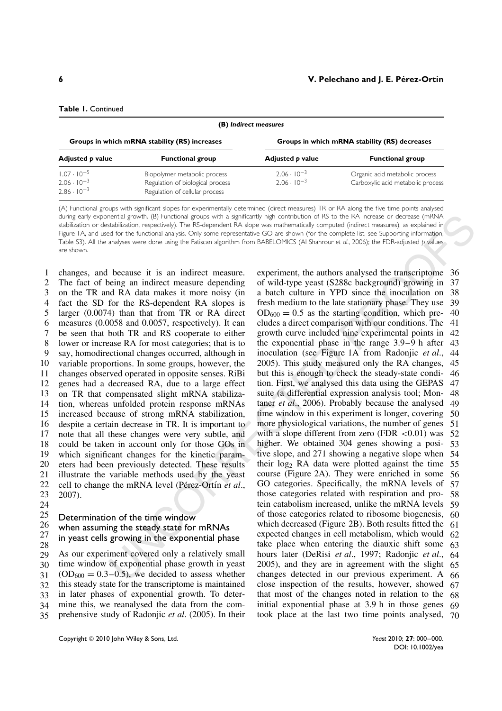#### **Table 1.** Continued

|                                                                      |                                                                                                    | (B) Indirect measures                         |                                                                     |  |
|----------------------------------------------------------------------|----------------------------------------------------------------------------------------------------|-----------------------------------------------|---------------------------------------------------------------------|--|
|                                                                      | Groups in which mRNA stability (RS) increases                                                      | Groups in which mRNA stability (RS) decreases |                                                                     |  |
| Adjusted $p$ value                                                   | <b>Functional group</b>                                                                            | Adjusted $p$ value                            | <b>Functional group</b>                                             |  |
| $1.07 \cdot 10^{-5}$<br>$2.06 \cdot 10^{-3}$<br>$2.86 \cdot 10^{-3}$ | Biopolymer metabolic process<br>Regulation of biological process<br>Regulation of cellular process | $2.06 \cdot 10^{-3}$<br>$2.06 \cdot 10^{-3}$  | Organic acid metabolic process<br>Carboxylic acid metabolic process |  |

(A) Functional groups with significant slopes for experimentally determined (direct measures) TR or RA along the five time points analysed during early exponential growth. (B) Functional groups with a significantly high contribution of RS to the RA increase or decrease (mRNA stabilization or destabilization, respectively). The RS-dependent RA slope was mathematically computed (indirect measures), as explained in Figure 1A, and used for the functional analysis. Only some representative GO are shown (for the complete list, see Supporting information, Table S3). All the analyses were done using the Fatiscan algorithm from BABELOMICS (Al Shahrour *et al*., 2006); the FDR-adjusted *p* values are shown.

1  $\mathcal{D}_{\mathcal{L}}$ 3 4 5 6 7 8 9 10 11 12 13 14 15 16 17 18 19 20 21 22 23 changes, and because it is an indirect measure. The fact of being an indirect measure depending on the TR and RA data makes it more noisy (in fact the SD for the RS-dependent RA slopes is larger (0.0074) than that from TR or RA direct measures (0.0058 and 0.0057, respectively). It can be seen that both TR and RS cooperate to either lower or increase RA for most categories; that is to say, homodirectional changes occurred, although in variable proportions. In some groups, however, the changes observed operated in opposite senses. RiBi genes had a decreased RA, due to a large effect on TR that compensated slight mRNA stabilization, whereas unfolded protein response mRNAs increased because of strong mRNA stabilization, despite a certain decrease in TR. It is important to note that all these changes were very subtle, and could be taken in account only for those GOs in which significant changes for the kinetic parameters had been previously detected. These results illustrate the variable methods used by the yeast cell to change the mRNA level (Pérez-Ortín et al., 2007).

24

#### 25 26 27 Determination of the time window when assuming the steady state for mRNAs in yeast cells growing in the exponential phase

28 29 30 31 32 33 34 35 As our experiment covered only a relatively small time window of exponential phase growth in yeast  $(OD<sub>600</sub> = 0.3-0.5)$ , we decided to assess whether this steady state for the transcriptome is maintained in later phases of exponential growth. To determine this, we reanalysed the data from the comprehensive study of Radonjic *et al*. (2005). In their

Copyright 2010 John Wiley & Sons, Ltd. *Yeast* 2010; **27**: 000–000.

eraid grooth. (V) Furthers groots and a signification of its limit M means on correct (white spin that the spin tector and the spin tector of the control of the mean term in the state and single on the control of the cont experiment, the authors analysed the transcriptome 36 37 of wild-type yeast (S288c background) growing in 38 39 40 41 cludes a direct comparison with our conditions. The 42 growth curve included nine experimental points in the exponential phase in the range 3.9–9 h after 43 44 inoculation (see Figure 1A from Radonjic *et al*., 45 2005). This study measured only the RA changes, 46 47 48 taner *et al.*, 2006). Probably because the analysed 49 time window in this experiment is longer, covering 50 51 52 with a slope different from zero (FDR *<*0*.*01) was 53 54 55 56 GO categories. Specifically, the mRNA levels of 57 58 59 tein catabolism increased, unlike the mRNA levels of those categories related to ribosome biogenesis, 60 which decreased (Figure 2B). Both results fitted the 61 expected changes in cell metabolism, which would 62 take place when entering the diauxic shift some 63 64 65 2005), and they are in agreement with the slight 66 changes detected in our previous experiment. A 67 close inspection of the results, however, showed that most of the changes noted in relation to the 68 69 took place at the last two time points analysed, 70 a batch culture in YPD since the inoculation on fresh medium to the late stationary phase. They use  $OD_{600} = 0.5$  as the starting condition, which prebut this is enough to check the steady-state condition. First, we analysed this data using the GEPAS suite (a differential expression analysis tool; Monmore physiological variations, the number of genes higher. We obtained 304 genes showing a positive slope, and 271 showing a negative slope when their  $log_2$  RA data were plotted against the time course (Figure 2A). They were enriched in some those categories related with respiration and prohours later (DeRisi *et al*., 1997; Radonjic *et al*., initial exponential phase at 3.9 h in those genes

DOI: 10.1002/yea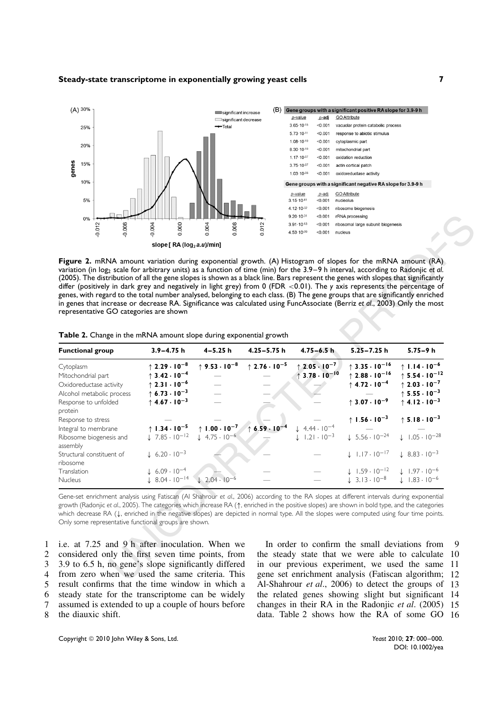#### **Steady-state transcriptome in exponentially growing yeast cells 7**



| $3.9 - 4.75 h$<br>$4 - 5.25h$<br>4.25-5.75 h<br>$4.75 - 6.5h$<br>5.25–7.25 h<br>$5.75 - 9 h$<br>$\uparrow$ 2.05 $\cdot$ 10 <sup>-7</sup><br>$\uparrow$ 9.53 $\cdot$ 10 <sup>-8</sup><br>$\uparrow$ 2.76 $\cdot$ 10 <sup>-5</sup><br>$\uparrow$ 3.35 $\cdot$ 10 <sup>-16</sup><br>$\uparrow$ 2.29 $\cdot$ 10 <sup>-8</sup><br>$\uparrow$ 1.14 $\cdot$ 10 <sup>-6</sup><br>$\uparrow$ 3.78 $\cdot$ 10 <sup>-10</sup><br>$\uparrow$ 2.88 $\cdot$ 10 <sup>-16</sup><br>$\uparrow$ 3.42 $\cdot$ 10 <sup>-4</sup><br>$\uparrow$ 2.03 $\cdot$ 10 <sup>-7</sup><br>$\uparrow$ 2.31 $\cdot$ 10 <sup>-6</sup><br>$\uparrow$ 4.72 $\cdot$ 10 <sup>-4</sup><br>$\uparrow$ 5.55 $\cdot$ 10 <sup>-3</sup><br>$\uparrow$ 6.73 $\cdot$ 10 <sup>-3</sup><br>$\uparrow$ 3.07 $\cdot$ 10 <sup>-9</sup><br>$\uparrow$ 4.12 $\cdot$ 10 <sup>-3</sup><br>$\uparrow$ 4.67 $\cdot$ 10 <sup>-3</sup><br>$\uparrow$ 5.18 $\cdot$ 10 <sup>-3</sup><br>↑ 1.56 $\cdot$ 10 <sup>-3</sup><br>$\uparrow$ 1.00 $\cdot$ 10 <sup>-7</sup><br>$\uparrow$ 1.34 $\cdot$ 10 <sup>-5</sup><br>$\uparrow$ 6.59 $\cdot$ 10 <sup>-4</sup><br>$\downarrow$ 4.44 $\cdot$ 10 <sup>-4</sup><br>$\downarrow$ 7.85 $\cdot$ 10 <sup>-12</sup><br>$\downarrow$ 4.75 $\cdot$ 10 <sup>-6</sup><br>$\downarrow$ 1.21 $\cdot$ 10 <sup>-3</sup><br>$\downarrow$ 5.56 $\cdot$ 10 <sup>-24</sup><br>$\downarrow$ 1.05 $\cdot$ 10 <sup>-28</sup> | Figure 2. mRNA amount variation during exponential growth. (A) Histogram of slopes for the mRNA amount (RA)<br>variation (in log <sub>2</sub> scale for arbitrary units) as a function of time (min) for the 3.9-9 h interval, according to Radonjic et al.<br>(2005). The distribution of all the gene slopes is shown as a black line. Bars represent the genes with slopes that significantly<br>differ (positively in dark grey and negatively in light grey) from 0 (FDR <0.01). The y axis represents the percentage of<br>genes, with regard to the total number analysed, belonging to each class. (B) The gene groups that are significantly enriched<br>in genes that increase or decrease RA. Significance was calculated using FuncAssociate (Berriz et al., 2003) Only the most<br>representative GO categories are shown<br>Table 2. Change in the mRNA amount slope during exponential growth | slope [ RA (log <sub>2</sub> a.u)/min] |  |  |                                           |
|---------------------------------------------------------------------------------------------------------------------------------------------------------------------------------------------------------------------------------------------------------------------------------------------------------------------------------------------------------------------------------------------------------------------------------------------------------------------------------------------------------------------------------------------------------------------------------------------------------------------------------------------------------------------------------------------------------------------------------------------------------------------------------------------------------------------------------------------------------------------------------------------------------------------------------------------------------------------------------------------------------------------------------------------------------------------------------------------------------------------------------------------------------------------------------------------------------------------------------------------------------------------------------------------------------------------------------------------------------------------------------------|--------------------------------------------------------------------------------------------------------------------------------------------------------------------------------------------------------------------------------------------------------------------------------------------------------------------------------------------------------------------------------------------------------------------------------------------------------------------------------------------------------------------------------------------------------------------------------------------------------------------------------------------------------------------------------------------------------------------------------------------------------------------------------------------------------------------------------------------------------------------------------------------------------------|----------------------------------------|--|--|-------------------------------------------|
| protein                                                                                                                                                                                                                                                                                                                                                                                                                                                                                                                                                                                                                                                                                                                                                                                                                                                                                                                                                                                                                                                                                                                                                                                                                                                                                                                                                                               | <b>Functional group</b>                                                                                                                                                                                                                                                                                                                                                                                                                                                                                                                                                                                                                                                                                                                                                                                                                                                                                      |                                        |  |  |                                           |
|                                                                                                                                                                                                                                                                                                                                                                                                                                                                                                                                                                                                                                                                                                                                                                                                                                                                                                                                                                                                                                                                                                                                                                                                                                                                                                                                                                                       | Cytoplasm<br>Mitochondrial part<br>Oxidoreductase activity<br>Alcohol metabolic process<br>Response to unfolded                                                                                                                                                                                                                                                                                                                                                                                                                                                                                                                                                                                                                                                                                                                                                                                              |                                        |  |  | $\uparrow$ 5.54 $\cdot$ 10 <sup>-12</sup> |
|                                                                                                                                                                                                                                                                                                                                                                                                                                                                                                                                                                                                                                                                                                                                                                                                                                                                                                                                                                                                                                                                                                                                                                                                                                                                                                                                                                                       | Response to stress<br>Integral to membrane<br>Ribosome biogenesis and                                                                                                                                                                                                                                                                                                                                                                                                                                                                                                                                                                                                                                                                                                                                                                                                                                        |                                        |  |  |                                           |
| $\downarrow$ 6.20 $\cdot$ 10 <sup>-3</sup><br>$\downarrow$ 1.17 $\cdot$ 10 <sup>-17</sup><br>$\downarrow$ 8.83 $\cdot$ 10 <sup>-3</sup><br>Structural constituent of<br>ribosome                                                                                                                                                                                                                                                                                                                                                                                                                                                                                                                                                                                                                                                                                                                                                                                                                                                                                                                                                                                                                                                                                                                                                                                                      | assembly                                                                                                                                                                                                                                                                                                                                                                                                                                                                                                                                                                                                                                                                                                                                                                                                                                                                                                     |                                        |  |  |                                           |
| $\downarrow$ 1.97 $\cdot$ 10 <sup>-6</sup><br>$\downarrow$ 6.09 $\cdot$ 10 <sup>-4</sup><br>$\downarrow$ 1.59 $\cdot$ 10 <sup>-12</sup><br>Translation<br>$12.04 \cdot 10^{-6}$<br>$\downarrow$ 8.04 $\cdot$ 10 <sup>-14</sup><br>$\downarrow$ 3.13 $\cdot$ 10 <sup>-8</sup><br>$\downarrow$ 1.83 $\cdot$ 10 <sup>-6</sup><br><b>Nucleus</b>                                                                                                                                                                                                                                                                                                                                                                                                                                                                                                                                                                                                                                                                                                                                                                                                                                                                                                                                                                                                                                          |                                                                                                                                                                                                                                                                                                                                                                                                                                                                                                                                                                                                                                                                                                                                                                                                                                                                                                              |                                        |  |  |                                           |

**Table 2.** Change in the mRNA amount slope during exponential growth

1 2 3 4 5 6 7 8 i.e. at 7.25 and 9 h after inoculation. When we considered only the first seven time points, from 3.9 to 6.5 h, no gene's slope significantly differed from zero when we used the same criteria. This result confirms that the time window in which a steady state for the transcriptome can be widely assumed is extended to up a couple of hours before the diauxic shift.

 $\Omega$ 10 11 12 gene set enrichment analysis (Fatiscan algorithm; 13 14 changes in their RA in the Radonjic *et al.* (2005) 15 data. Table 2 shows how the RA of some GO 16 In order to confirm the small deviations from the steady state that we were able to calculate in our previous experiment, we used the same Al-Shahrour *et al*., 2006) to detect the groups of the related genes showing slight but significant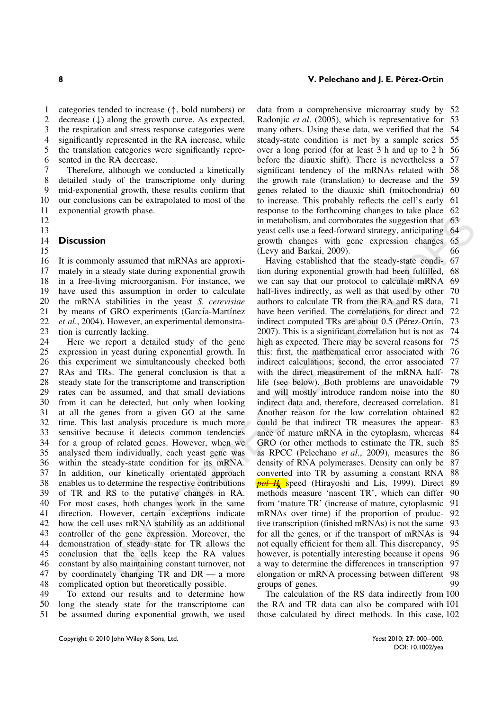1 2 3 4 5 6 categories tended to increase (↑, bold numbers) or decrease  $(\downarrow)$  along the growth curve. As expected, the respiration and stress response categories were significantly represented in the RA increase, while the translation categories were significantly represented in the RA decrease.

7 8 9 10 11 Therefore, although we conducted a kinetically detailed study of the transcriptome only during mid-exponential growth, these results confirm that our conclusions can be extrapolated to most of the exponential growth phase.

#### 12

#### 13

#### 14 **Discussion**

15

16 17 18 19 20 21 22 23 It is commonly assumed that mRNAs are approximately in a steady state during exponential growth in a free-living microorganism. For instance, we have used this assumption in order to calculate the mRNA stabilities in the yeast *S. cerevisiae* by means of GRO experiments (García-Martínez *et al*., 2004). However, an experimental demonstration is currently lacking.

24 25 26 27 28 29 30 31 32 33 34 35 36 37 38 39 40 41 42 43 44 45 46 47 48 Here we report a detailed study of the gene expression in yeast during exponential growth. In this experiment we simultaneously checked both RAs and TRs. The general conclusion is that a steady state for the transcriptome and transcription rates can be assumed, and that small deviations from it can be detected, but only when looking at all the genes from a given GO at the same time. This last analysis procedure is much more sensitive because it detects common tendencies for a group of related genes. However, when we analysed them individually, each yeast gene was within the steady-state condition for its mRNA. In addition, our kinetically orientated approach enables us to determine the respective contributions of TR and RS to the putative changes in RA. For most cases, both changes work in the same direction. However, certain exceptions indicate how the cell uses mRNA stability as an additional controller of the gene expression. Moreover, the demonstration of steady state for TR allows the conclusion that the cells keep the RA values constant by also maintaining constant turnover, not by coordinately changing TR and DR — a more complicated option but theoretically possible.

49 50 51 To extend our results and to determine how long the steady state for the transcriptome can be assumed during exponential growth, we used

#### **8 V. Pelechano and J. E. Perez-Ort ´ ´ın**

data from a comprehensive microarray study by 52 Radonjic *et al.* (2005), which is representative for 53 many others. Using these data, we verified that the 54 55 over a long period (for at least 3 h and up to 2 h 56 before the diauxic shift). There is nevertheless a 57 58 the growth rate (translation) to decrease and the 59 genes related to the diauxic shift (mitochondria) 60 to increase. This probably reflects the cell's early 61 response to the forthcoming changes to take place 62 in metabolism, and corroborates the suggestion that 63 64 yeast cells use a feed-forward strategy, anticipating 65 growth changes with gene expression changes 66 steady-state condition is met by a sample series significant tendency of the mRNAs related with (Levy and Barkai, 2009).

in metabolism, and corroborates the suggestion that 63<br>
yeas tells we are deed Forward strategy, anticipating 64<br>
yeas tells we are deed Forward strategy, anticipating 64<br>
yeas with changes with gene expression changes 66<br> Having established that the steady-state condi- 67 tion during exponential growth had been fulfilled, 68 we can say that our protocol to calculate mRNA 69 half-lives indirectly, as well as that used by other 70 71 72 73 74 75 76 this: first, the mathematical error associated with indirect calculations; second, the error associated 77 78 life (see below). Both problems are unavoidable 79 80 81 82 83 84 85 86 87 88 89 methods measure 'nascent TR', which can differ 90 from 'mature TR' (increase of mature, cytoplasmic 91 92 tive transcription (finished mRNAs) is not the same 93  $Q_{\Delta}$  $Q<sub>5</sub>$ 96 a way to determine the differences in transcription 97 98 elongation or mRNA processing between different 99 authors to calculate TR from the RA and RS data, have been verified. The correlations for direct and indirect computed TRs are about  $0.5$  (Pérez-Ortín, 2007). This is a significant correlation but is not as high as expected. There may be several reasons for with the direct measurement of the mRNA halfand will mostly introduce random noise into the indirect data and, therefore, decreased correlation. Another reason for the low correlation obtained could be that indirect TR measures the appearance of mature mRNA in the cytoplasm, whereas GRO (or other methods to estimate the TR, such as RPCC (Pelechano *et al*., 2009), measures the density of RNA polymerases. Density can only be converted into TR by assuming a constant RNA *pol II* speed (Hirayoshi and Lis, 1999). Direct mRNAs over time) if the proportion of producfor all the genes, or if the transport of mRNAs is not equally efficient for them all. This discrepancy, however, is potentially interesting because it opens groups of genes.

The calculation of the RS data indirectly from 100 the RA and TR data can also be compared with 101 those calculated by direct methods. In this case, 102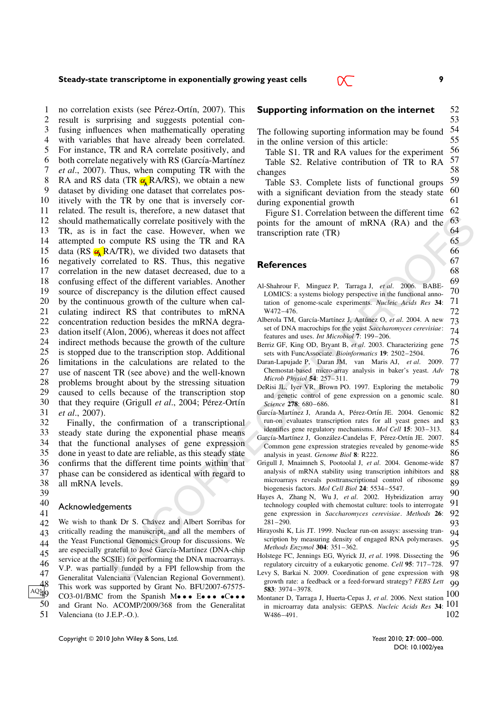**Steady-state transcriptome in exponentially growing yeast cells**  $\alpha$ 

matically correlate positively with the plats for the canonical correlation (and the case in the case in the case in the case in the case in the case in the case in the case in the case in the case in the case in the case 1 2 3 4 5 6 7 8 9 10 11 12 13 14 15 16 17 18 19 20 21 22 23 24 25 26 27 28 29 30 31 no correlation exists (see Pérez-Ortín, 2007). This result is surprising and suggests potential confusing influences when mathematically operating with variables that have already been correlated. For instance, TR and RA correlate positively, and both correlate negatively with RS (García-Martínez *et al*., 2007). Thus, when computing TR with the RA and RS data (TR  $\alpha$ <sub>x</sub> RA/RS), we obtain a new dataset by dividing one dataset that correlates positively with the TR by one that is inversely correlated. The result is, therefore, a new dataset that should mathematically correlate positively with the TR, as is in fact the case. However, when we attempted to compute RS using the TR and RA data (RS *α* RA/TR), we divided two datasets that negatively correlated to RS. Thus, this negative correlation in the new dataset decreased, due to a confusing effect of the different variables. Another source of discrepancy is the dilution effect caused by the continuous growth of the culture when calculating indirect RS that contributes to mRNA concentration reduction besides the mRNA degradation itself (Alon, 2006), whereas it does not affect indirect methods because the growth of the culture is stopped due to the transcription stop. Additional limitations in the calculations are related to the use of nascent TR (see above) and the well-known problems brought about by the stressing situation caused to cells because of the transcription stop that they require (Grigull *et al.*, 2004; Pérez-Ortín *et al*., 2007).

32 33 34 35 36 37 38 Finally, the confirmation of a transcriptional steady state during the exponential phase means that the functional analyses of gene expression done in yeast to date are reliable, as this steady state confirms that the different time points within that phase can be considered as identical with regard to all mRNA levels.

39

#### 40 41 Acknowledgements

42 43 44 45 46 47 48 <u>4</u>9 50 We wish to thank Dr S. Chávez and Albert Sorribas for critically reading the manuscript, and all the members of the Yeast Functional Genomics Group for discussions. We are especially grateful to José García-Martínez (DNA-chip service at the SCSIE) for performing the DNA macroarrays. V.P. was partially funded by a FPI fellowship from the Generalitat Valenciana (Valencian Regional Government). This work was supported by Grant No. BFU2007-67575- CO3-01/BMC from the Spanish  $M\bullet\bullet\bullet$  E $\bullet\bullet\bullet\bullet\bullet\bullet\bullet\bullet$ and Grant No. ACOMP/2009/368 from the Generalitat

51 Valenciana (to J.E.P.-O.).

Copyright 2010 John Wiley & Sons, Ltd. *Yeast* 2010; **27**: 000–000.

# **Supporting information on the internet**

54 55 The following suporting information may be found in the online version of this article:

56 57 58 59 Table S1. TR and RA values for the experiment Table S2. Relative contribution of TR to RA changes

60 61 62 Table S3. Complete lists of functional groups with a significant deviation from the steady state during exponential growth

Figure S1. Correlation between the different time points for the amount of mRNA (RA) and the transcription rate (TR)

#### **References**

- 69 70 71 72 Al-Shahrour F, Minguez P, Tarraga J, *et al*. 2006. BABE-LOMICS: a systems biology perspective in the functional annotation of genome-scale experiments. *Nucleic Acids Res* **34**: W472–476.
- 73 74 75 Alberola TM, García-Martínez J, Antúnez O, et al. 2004. A new set of DNA macrochips for the yeast *Saccharomyces cerevisiae*: features and uses. *Int Microbiol* **7**: 199–206.
- 76 Berriz GF, King OD, Bryant B, *et al*. 2003. Characterizing gene sets with FuncAssociate. *Bioinformatics* **19**: 2502–2504.
- 77 78 79 Daran-Lapujade P, Daran JM, van Maris AJ, *et al*. 2009. Chemostat-based micro-array analysis in baker's yeast. *Adv Microb Physiol* **54**: 257–311.
- 80 81 DeRisi JL, Iyer VR, Brown PO. 1997. Exploring the metabolic and genetic control of gene expression on a genomic scale. *Science* **278**: 680–686.
- 82 83 84 García-Martínez J, Aranda A, Pérez-Ortín JE. 2004. Genomic run-on evaluates transcription rates for all yeast genes and identifies gene regulatory mechanisms. *Mol Cell* **15**: 303–313.
- 85 86 García-Martínez J, González-Candelas F, Pérez-Ortín JE. 2007. Common gene expression strategies revealed by genome-wide analysis in yeast. *Genome Biol* **8**: R222.
- 87 88 89 Grigull J, Mnaimneh S, Pootoolal J, *et al*. 2004. Genome-wide analysis of mRNA stability using transcription inhibitors and microarrays reveals posttranscriptional control of ribosome biogenesis factors. *Mol Cell Biol* **24**: 5534–5547.
- 90 91 92 93 Hayes A, Zhang N, Wu J, *et al*. 2002. Hybridization array technology coupled with chemostat culture: tools to interrogate gene expression in *Saccharomyces cerevisiae*. *Methods* **26**: 281–290.
- 94 95 Hirayoshi K, Lis JT. 1999. Nuclear run-on assays: assessing transcription by measuring density of engaged RNA polymerases. *Methods Enzymol* **304**: 351–362.
- 96 97 Holstege FC, Jennings EG, Wyrick JJ, *et al*. 1998. Dissecting the regulatory circuitry of a eukaryotic genome. *Cell* **95**: 717–728.
- 98 99 Levy S, Barkai N. 2009. Coordination of gene expression with growth rate: a feedback or a feed-forward strategy? *FEBS Lett* **583**: 3974–3978.
- 100 in microarray data analysis: GEPAS. *Nucleic Acids Res* 34: 101 102 Montaner D, Tarraga J, Huerta-Cepas J, *et al*. 2006. Next station W486–491.

DOI: 10.1002/yea

52 53

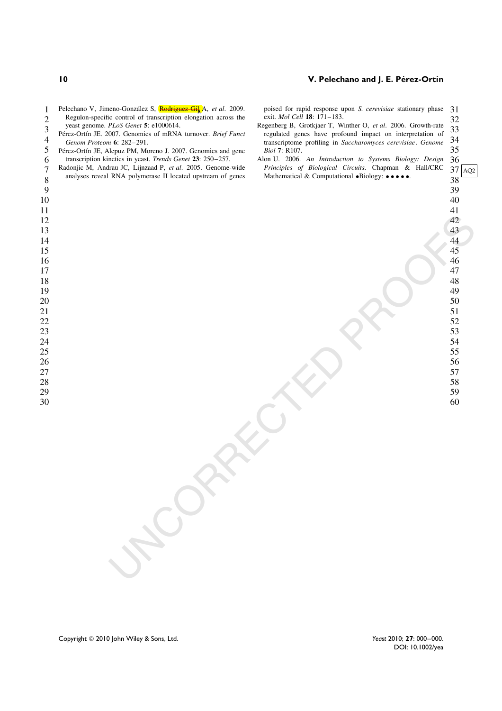### **10 V. Pelechano and J. E. Perez-Ort ´ ´ın**

- Pelechano V, Jimeno-González S, Rodriguez-Gil A, et al. 2009. Regulon-specific control of transcription elongation across the yeast genome. *PLoS Genet* **5**: e1000614.
	- Pérez-Ortín JE. 2007. Genomics of mRNA turnover. *Brief Funct Genom Proteom* **6**: 282–291.
- Pérez-Ortín JE, Alepuz PM, Moreno J. 2007. Genomics and gene transcription kinetics in yeast. *Trends Genet* **23**: 250–257.
- Radonjic M, Andrau JC, Lijnzaad P, *et al*. 2005. Genome-wide analyses reveal RNA polymerase II located upstream of genes

31 poised for rapid response upon *S. cerevisiae* stationary phase exit. *Mol Cell* **18**: 171–183.

- Regenberg B, Grotkjaer T, Winther O, *et al*. 2006. Growth-rate regulated genes have profound impact on interpretation of transcriptome profiling in *Saccharomyces cerevisiae*. *Genome Biol* **7**: R107.
- Alon U. 2006. *An Introduction to Systems Biology: Design Principles of Biological Circuits*. Chapman & Hall/CRC *Principles of Biological Circuits.* Chapman & Hall/CRC  $\frac{37}{38}$   $\frac{AQ2}{9}$

UNCORRECTED PROPERTY

- 
- 
- 
- 
-